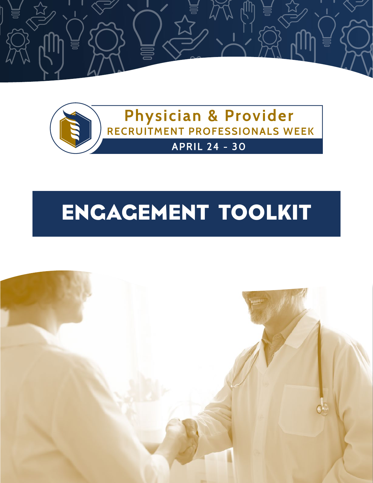



# ENGAGEMENT TOOLKIT

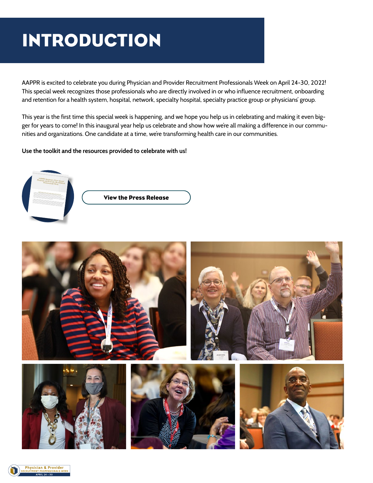### INTRODUCTION

AAPPR is excited to celebrate you during Physician and Provider Recruitment Professionals Week on April 24-30, 2022! This special week recognizes those professionals who are directly involved in or who influence recruitment, onboarding and retention for a health system, hospital, network, specialty hospital, specialty practice group or physicians' group.

This year is the first time this special week is happening, and we hope you help us in celebrating and making it even bigger for years to come! In this inaugural year help us celebrate and show how we're all making a difference in our communities and organizations. One candidate at a time, we're transforming health care in our communities.

#### **Use the toolkit and the resources provided to celebrate with us!**



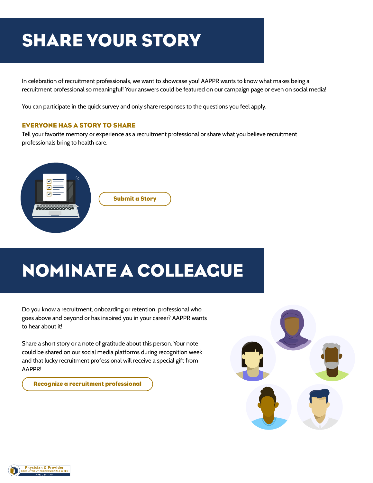### SHARE YOUR STORY

In celebration of recruitment professionals, we want to showcase you! AAPPR wants to know what makes being a recruitment professional so meaningful! Your answers could be featured on our campaign page or even on social media!

You can participate in the quick survey and only share responses to the questions you feel apply.

#### EVERYONE HAS A STORY TO SHARE

Tell your favorite memory or experience as a recruitment professional or share what you believe recruitment professionals bring to health care.



## NOMINATE A COLLEAGUE

Do you know a recruitment, onboarding or retention professional who goes above and beyond or has inspired you in your career? AAPPR wants to hear about it!

Share a short story or a note of gratitude about this person. Your note could be shared on our social media platforms during recognition week and that lucky recruitment professional will receive a special gift from AAPPR!

[Recognize a recruitment professional](https://form.asana.com/?k=IM2x2wy1JOzSh51kJhZQMA&d=682768400099622)



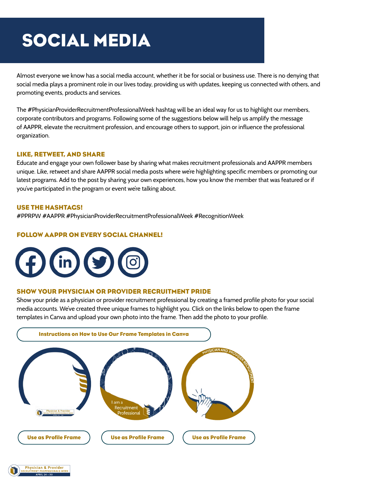### SOCIAL MEDIA

Almost everyone we know has a social media account, whether it be for social or business use. There is no denying that social media plays a prominent role in our lives today, providing us with updates, keeping us connected with others, and promoting events, products and services.

The #PhysicianProviderRecruitmentProfessionalWeek hashtag will be an ideal way for us to highlight our members, corporate contributors and programs. Following some of the suggestions below will help us amplify the message of AAPPR, elevate the recruitment profession, and encourage others to support, join or influence the professional organization.

#### LIKE, RETWEET, AND SHARE

Educate and engage your own follower base by sharing what makes recruitment professionals and AAPPR members unique. Like, retweet and share AAPPR social media posts where we're highlighting specific members or promoting our latest programs. Add to the post by sharing your own experiences, how you know the member that was featured or if you've participated in the program or event we're talking about.

#### USE THE HASHTAGS!

#PPRPW #AAPPR #PhysicianProviderRecruitmentProfessionalWeek #RecognitionWeek

#### FOLLOW AAPPR ON EVERY SOCIAL CHANNEL!



#### SHOW YOUR PHYSICIAN OR PROVIDER RECRUITMENT PRIDE

Show your pride as a physician or provider recruitment professional by creating a framed profile photo for your social media accounts. We've created three unique frames to highlight you. Click on the links below to open the frame templates in Canva and upload your own photo into the frame. Then add the photo to your profile.